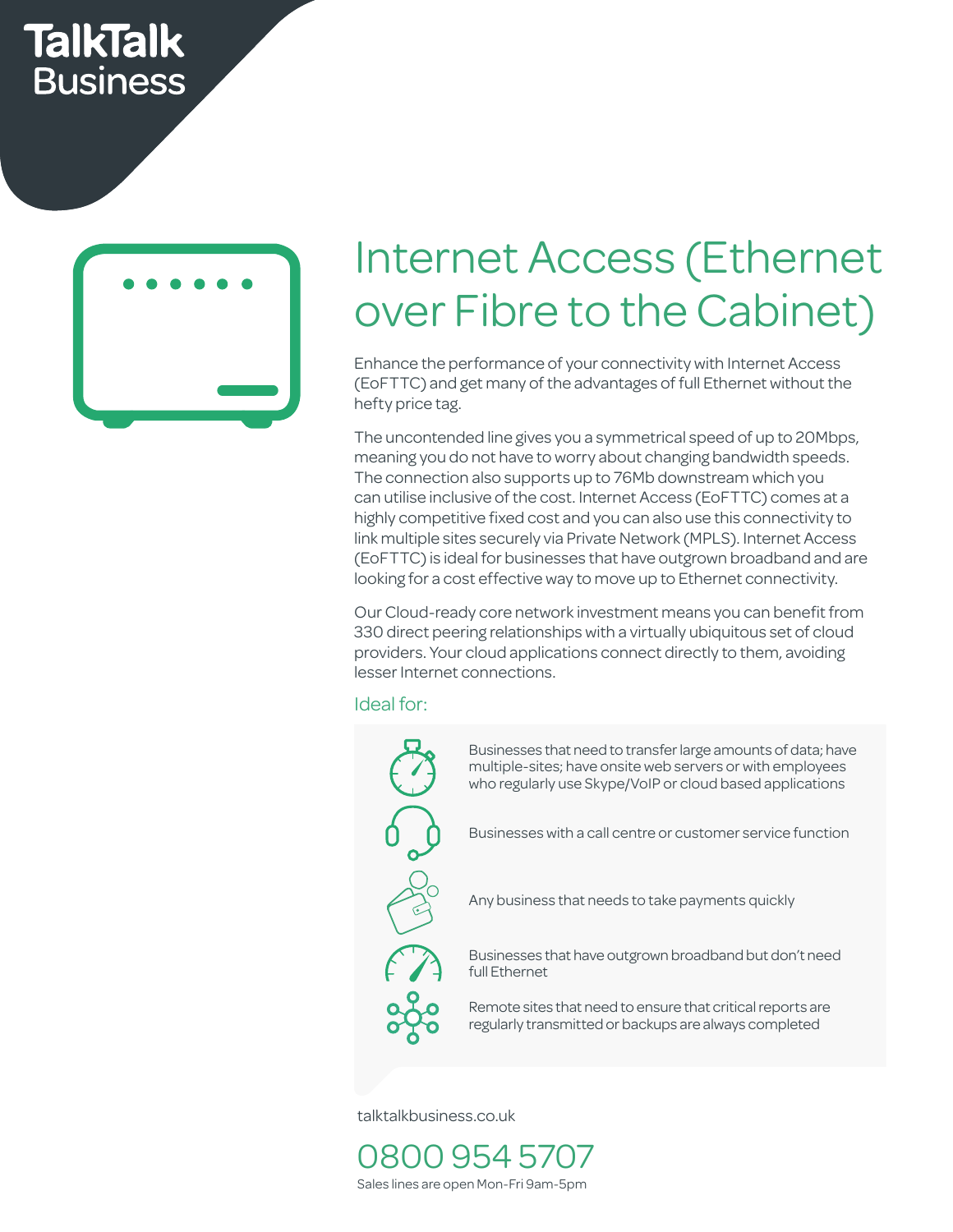## **TalkTalk Business**



# Internet Access (Ethernet over Fibre to the Cabinet)

Enhance the performance of your connectivity with Internet Access (EoFTTC) and get many of the advantages of full Ethernet without the hefty price tag.

righty competitive med cost and you can also doe this competitivity to<br>link multiple sites securely via Private Network (MPLS). Internet Access<br>(FoFTTC) is ideal for businesses that have outgrown broadband and are The uncontended line gives you a symmetrical speed of up to 20Mbps, meaning you do not have to worry about changing bandwidth speeds. The connection also supports up to 76Mb downstream which you can utilise inclusive of the cost. Internet Access (EoFTTC) comes at a highly competitive fixed cost and you can also use this connectivity to (EoFTTC) is ideal for businesses that have outgrown broadband and are looking for a cost effective way to move up to Ethernet connectivity.

330 direct peering relationships with a virtually ubiquitous set of cloud<br>providers. Your cloud applications connect directly to them, avoiding Our Cloud-ready core network investment means you can benefit from providers. Your cloud applications connect directly to them, avoiding lesser Internet connections. 4 work<br>iships<br>icatic

rvice

#### Ideal for: Cost savings Call Centres Easy to set up Growing business Up to 4 users



talktalkbusiness.co.uk

0800 954 5707 Sales lines are open Mon-Fri 9am-5pm